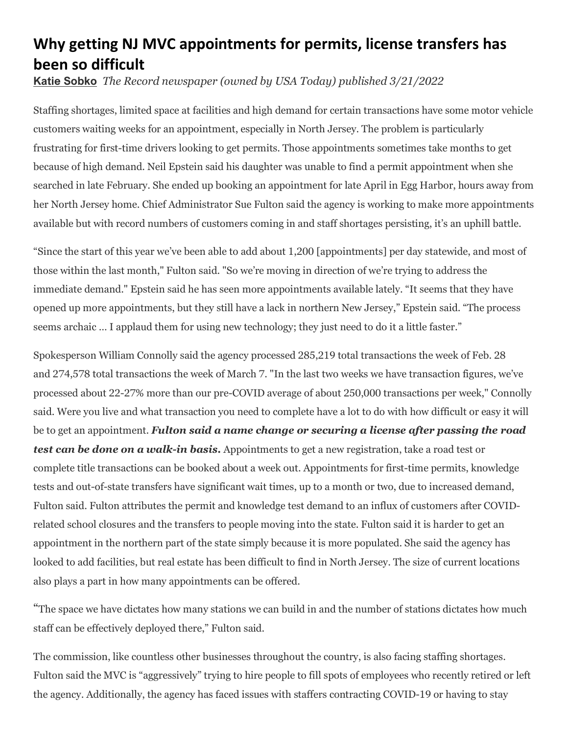## **Why getting NJ MVC appointments for permits, license transfers has been so difficult**

**[Katie Sobko](https://www.northjersey.com/staff/2647164001/katie-sobko/)** *The Record newspaper (owned by USA Today) published 3/21/2022* 

Staffing shortages, limited space at facilities and high demand for certain transactions have some motor vehicle customers waiting weeks for an appointment, especially in North Jersey. The problem is particularly frustrating for first-time drivers looking to get permits. Those appointments sometimes take months to get because of high demand. Neil Epstein said his daughter was unable to find a permit appointment when she searched in late February. She ended up booking an appointment for late April in Egg Harbor, hours away from her North Jersey home. Chief Administrator Sue Fulton said the agency is working to make more appointments available but with record numbers of customers coming in and staff shortages persisting, it's an uphill battle.

"Since the start of this year we've been able to add about 1,200 [appointments] per day statewide, and most of those within the last month," Fulton said. "So we're moving in direction of we're trying to address the immediate demand." Epstein said he has seen more appointments available lately. "It seems that they have opened up more appointments, but they still have a lack in northern New Jersey," Epstein said. "The process seems archaic … I applaud them for using new technology; they just need to do it a little faster."

Spokesperson William Connolly said the agency processed 285,219 total transactions the week of Feb. 28 and 274,578 total transactions the week of March 7. "In the last two weeks we have transaction figures, we've processed about 22-27% more than our pre-COVID average of about 250,000 transactions per week," Connolly said. Were you live and what transaction you need to complete have a lot to do with how difficult or easy it will be to get an appointment. *Fulton said a name change or securing a license after passing the road test can be done on a walk-in basis.* Appointments to get a new registration, take a road test or complete title transactions can be booked about a week out. Appointments for first-time permits, knowledge tests and out-of-state transfers have significant wait times, up to a month or two, due to increased demand, Fulton said. Fulton attributes the permit and knowledge test demand to an influx of customers after COVIDrelated school closures and the transfers to people moving into the state. Fulton said it is harder to get an appointment in the northern part of the state simply because it is more populated. She said the agency has looked to add facilities, but real estate has been difficult to find in North Jersey. The size of current locations also plays a part in how many appointments can be offered.

"The space we have dictates how many stations we can build in and the number of stations dictates how much staff can be effectively deployed there," Fulton said.

The commission, like countless other businesses throughout the country, is also facing staffing shortages. Fulton said the MVC is "aggressively" trying to hire people to fill spots of employees who recently retired or left the agency. Additionally, the agency has faced issues with staffers contracting COVID-19 or having to stay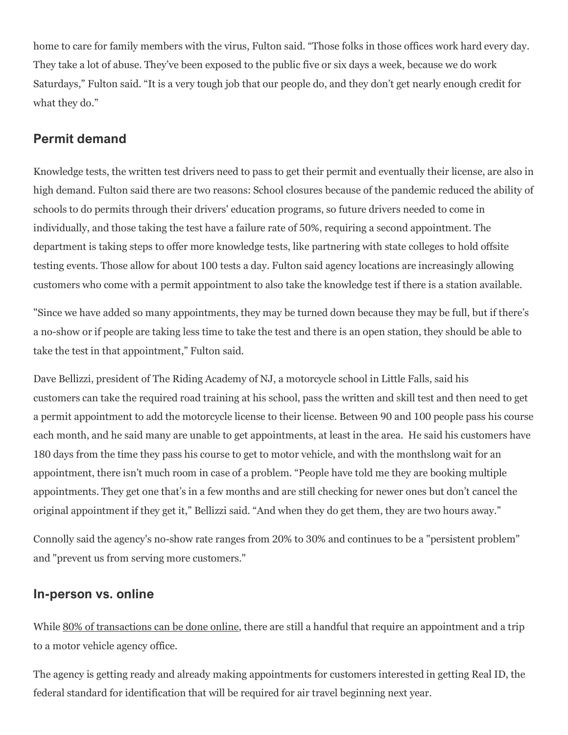home to care for family members with the virus, Fulton said. "Those folks in those offices work hard every day. They take a lot of abuse. They've been exposed to the public five or six days a week, because we do work Saturdays," Fulton said. "It is a very tough job that our people do, and they don't get nearly enough credit for what they do."

## **Permit demand**

Knowledge tests, the written test drivers need to pass to get their permit and eventually their license, are also in high demand. Fulton said there are two reasons: School closures because of the pandemic reduced the ability of schools to do permits through their drivers' education programs, so future drivers needed to come in individually, and those taking the test have a failure rate of 50%, requiring a second appointment. The department is taking steps to offer more knowledge tests, like partnering with state colleges to hold offsite testing events. Those allow for about 100 tests a day. Fulton said agency locations are increasingly allowing customers who come with a permit appointment to also take the knowledge test if there is a station available.

"Since we have added so many appointments, they may be turned down because they may be full, but if there's a no-show or if people are taking less time to take the test and there is an open station, they should be able to take the test in that appointment," Fulton said.

Dave Bellizzi, president of The Riding Academy of NJ, a motorcycle school in Little Falls, said his customers can take the required road training at his school, pass the written and skill test and then need to get a permit appointment to add the motorcycle license to their license. Between 90 and 100 people pass his course each month, and he said many are unable to get appointments, at least in the area. He said his customers have 180 days from the time they pass his course to get to motor vehicle, and with the monthslong wait for an appointment, there isn't much room in case of a problem. "People have told me they are booking multiple appointments. They get one that's in a few months and are still checking for newer ones but don't cancel the original appointment if they get it," Bellizzi said. "And when they do get them, they are two hours away."

Connolly said the agency's no-show rate ranges from 20% to 30% and continues to be a "persistent problem" and "prevent us from serving more customers."

## **In-person vs. online**

While [80% of transactions can be done online,](https://www.dailyrecord.com/story/news/new-jersey/2022/03/02/mvc-nj-modernized-online-services-after-covid/6843491001/) there are still a handful that require an appointment and a trip to a motor vehicle agency office.

The agency is getting ready and already making appointments for customers interested in getting Real ID, the federal standard for identification that will be required for air travel beginning next year.